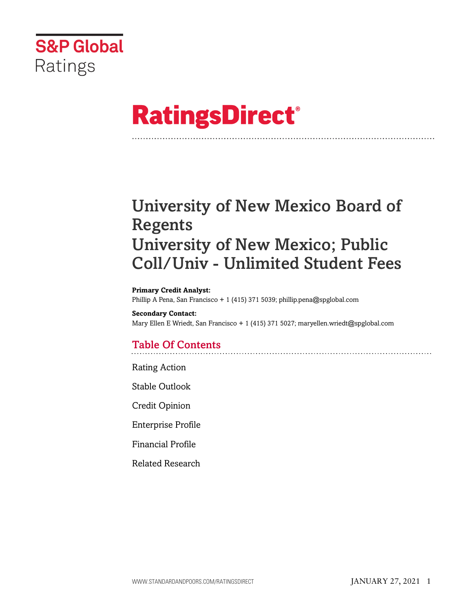

# **RatingsDirect®**

# University of New Mexico Board of Regents University of New Mexico; Public Coll/Univ - Unlimited Student Fees

#### **Primary Credit Analyst:**

Phillip A Pena, San Francisco + 1 (415) 371 5039; phillip.pena@spglobal.com

**Secondary Contact:** Mary Ellen E Wriedt, San Francisco + 1 (415) 371 5027; maryellen.wriedt@spglobal.com

# Table Of Contents

[Rating Action](#page-1-0)

[Stable Outlook](#page-3-0)

[Credit Opinion](#page-3-1)

[Enterprise Profile](#page-3-2)

[Financial Profile](#page-5-0)

[Related Research](#page-8-0)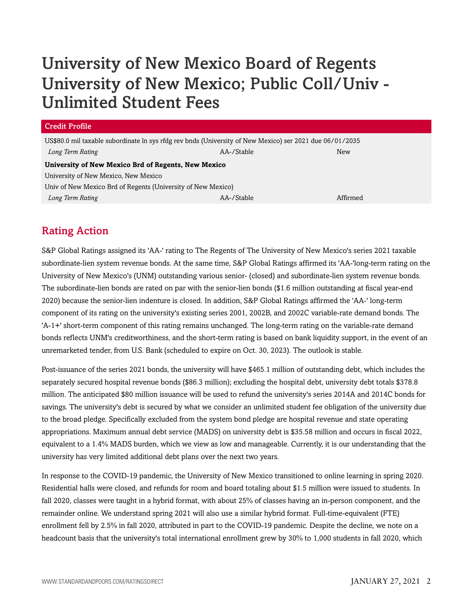# University of New Mexico Board of Regents University of New Mexico; Public Coll/Univ - Unlimited Student Fees

| <b>Credit Profile</b>                                                                                    |            |          |  |  |
|----------------------------------------------------------------------------------------------------------|------------|----------|--|--|
| US\$80.0 mil taxable subordinate ln sys rfdg rev bnds (University of New Mexico) ser 2021 due 06/01/2035 |            |          |  |  |
| Long Term Rating                                                                                         | AA-/Stable | New      |  |  |
| University of New Mexico Brd of Regents, New Mexico                                                      |            |          |  |  |
| University of New Mexico, New Mexico                                                                     |            |          |  |  |
| Univ of New Mexico Brd of Regents (University of New Mexico)                                             |            |          |  |  |
| Long Term Rating                                                                                         | AA-/Stable | Affirmed |  |  |

# <span id="page-1-0"></span>Rating Action

S&P Global Ratings assigned its 'AA-' rating to The Regents of The University of New Mexico's series 2021 taxable subordinate-lien system revenue bonds. At the same time, S&P Global Ratings affirmed its 'AA-'long-term rating on the University of New Mexico's (UNM) outstanding various senior- (closed) and subordinate-lien system revenue bonds. The subordinate-lien bonds are rated on par with the senior-lien bonds (\$1.6 million outstanding at fiscal year-end 2020) because the senior-lien indenture is closed. In addition, S&P Global Ratings affirmed the 'AA-' long-term component of its rating on the university's existing series 2001, 2002B, and 2002C variable-rate demand bonds. The 'A-1+' short-term component of this rating remains unchanged. The long-term rating on the variable-rate demand bonds reflects UNM's creditworthiness, and the short-term rating is based on bank liquidity support, in the event of an unremarketed tender, from U.S. Bank (scheduled to expire on Oct. 30, 2023). The outlook is stable.

Post-issuance of the series 2021 bonds, the university will have \$465.1 million of outstanding debt, which includes the separately secured hospital revenue bonds (\$86.3 million); excluding the hospital debt, university debt totals \$378.8 million. The anticipated \$80 million issuance will be used to refund the university's series 2014A and 2014C bonds for savings. The university's debt is secured by what we consider an unlimited student fee obligation of the university due to the broad pledge. Specifically excluded from the system bond pledge are hospital revenue and state operating appropriations. Maximum annual debt service (MADS) on university debt is \$35.58 million and occurs in fiscal 2022, equivalent to a 1.4% MADS burden, which we view as low and manageable. Currently, it is our understanding that the university has very limited additional debt plans over the next two years.

In response to the COVID-19 pandemic, the University of New Mexico transitioned to online learning in spring 2020. Residential halls were closed, and refunds for room and board totaling about \$1.5 million were issued to students. In fall 2020, classes were taught in a hybrid format, with about 25% of classes having an in-person component, and the remainder online. We understand spring 2021 will also use a similar hybrid format. Full-time-equivalent (FTE) enrollment fell by 2.5% in fall 2020, attributed in part to the COVID-19 pandemic. Despite the decline, we note on a headcount basis that the university's total international enrollment grew by 30% to 1,000 students in fall 2020, which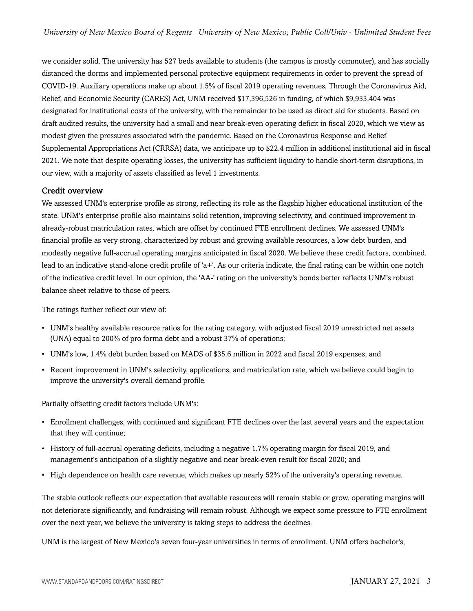we consider solid. The university has 527 beds available to students (the campus is mostly commuter), and has socially distanced the dorms and implemented personal protective equipment requirements in order to prevent the spread of COVID-19. Auxiliary operations make up about 1.5% of fiscal 2019 operating revenues. Through the Coronavirus Aid, Relief, and Economic Security (CARES) Act, UNM received \$17,396,526 in funding, of which \$9,933,404 was designated for institutional costs of the university, with the remainder to be used as direct aid for students. Based on draft audited results, the university had a small and near break-even operating deficit in fiscal 2020, which we view as modest given the pressures associated with the pandemic. Based on the Coronavirus Response and Relief Supplemental Appropriations Act (CRRSA) data, we anticipate up to \$22.4 million in additional institutional aid in fiscal 2021. We note that despite operating losses, the university has sufficient liquidity to handle short-term disruptions, in our view, with a majority of assets classified as level 1 investments.

### Credit overview

We assessed UNM's enterprise profile as strong, reflecting its role as the flagship higher educational institution of the state. UNM's enterprise profile also maintains solid retention, improving selectivity, and continued improvement in already-robust matriculation rates, which are offset by continued FTE enrollment declines. We assessed UNM's financial profile as very strong, characterized by robust and growing available resources, a low debt burden, and modestly negative full-accrual operating margins anticipated in fiscal 2020. We believe these credit factors, combined, lead to an indicative stand-alone credit profile of 'a+'. As our criteria indicate, the final rating can be within one notch of the indicative credit level. In our opinion, the 'AA-' rating on the university's bonds better reflects UNM's robust balance sheet relative to those of peers.

The ratings further reflect our view of:

- UNM's healthy available resource ratios for the rating category, with adjusted fiscal 2019 unrestricted net assets (UNA) equal to 200% of pro forma debt and a robust 37% of operations;
- UNM's low, 1.4% debt burden based on MADS of \$35.6 million in 2022 and fiscal 2019 expenses; and
- Recent improvement in UNM's selectivity, applications, and matriculation rate, which we believe could begin to improve the university's overall demand profile.

Partially offsetting credit factors include UNM's:

- Enrollment challenges, with continued and significant FTE declines over the last several years and the expectation that they will continue;
- History of full-accrual operating deficits, including a negative 1.7% operating margin for fiscal 2019, and management's anticipation of a slightly negative and near break-even result for fiscal 2020; and
- High dependence on health care revenue, which makes up nearly 52% of the university's operating revenue.

The stable outlook reflects our expectation that available resources will remain stable or grow, operating margins will not deteriorate significantly, and fundraising will remain robust. Although we expect some pressure to FTE enrollment over the next year, we believe the university is taking steps to address the declines.

UNM is the largest of New Mexico's seven four-year universities in terms of enrollment. UNM offers bachelor's,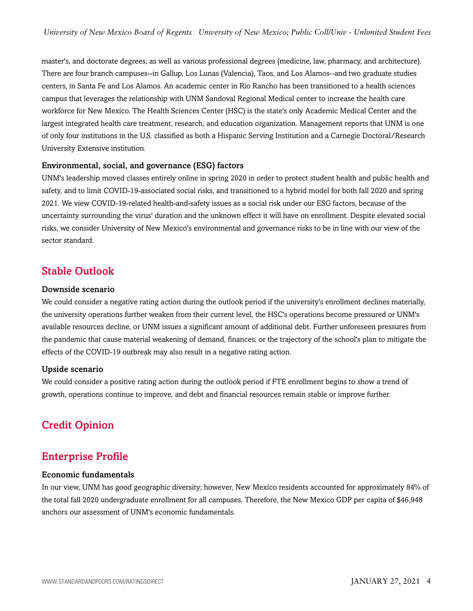master's, and doctorate degrees, as well as various professional degrees (medicine, law, pharmacy, and architecture). There are four branch campuses--in Gallup, Los Lunas (Valencia), Taos, and Los Alamos--and two graduate studies centers, in Santa Fe and Los Alamos. An academic center in Rio Rancho has been transitioned to a health sciences campus that leverages the relationship with UNM Sandoval Regional Medical center to increase the health care workforce for New Mexico. The Health Sciences Center (HSC) is the state's only Academic Medical Center and the largest integrated health care treatment, research, and education organization. Management reports that UNM is one of only four institutions in the U.S. classified as both a Hispanic Serving Institution and a Carnegie Doctoral/Research University Extensive institution.

### Environmental, social, and governance (ESG) factors

UNM's leadership moved classes entirely online in spring 2020 in order to protect student health and public health and safety, and to limit COVID-19-associated social risks, and transitioned to a hybrid model for both fall 2020 and spring 2021. We view COVID-19-related health-and-safety issues as a social risk under our ESG factors, because of the uncertainty surrounding the virus' duration and the unknown effect it will have on enrollment. Despite elevated social risks, we consider University of New Mexico's environmental and governance risks to be in line with our view of the sector standard.

# <span id="page-3-0"></span>Stable Outlook

#### Downside scenario

We could consider a negative rating action during the outlook period if the university's enrollment declines materially, the university operations further weaken from their current level, the HSC's operations become pressured or UNM's available resources decline, or UNM issues a significant amount of additional debt. Further unforeseen pressures from the pandemic that cause material weakening of demand, finances, or the trajectory of the school's plan to mitigate the effects of the COVID-19 outbreak may also result in a negative rating action.

# Upside scenario

We could consider a positive rating action during the outlook period if FTE enrollment begins to show a trend of growth, operations continue to improve, and debt and financial resources remain stable or improve further.

# <span id="page-3-1"></span>Credit Opinion

# <span id="page-3-2"></span>Enterprise Profile

# Economic fundamentals

In our view, UNM has good geographic diversity; however, New Mexico residents accounted for approximately 84% of the total fall 2020 undergraduate enrollment for all campuses. Therefore, the New Mexico GDP per capita of \$46,948 anchors our assessment of UNM's economic fundamentals.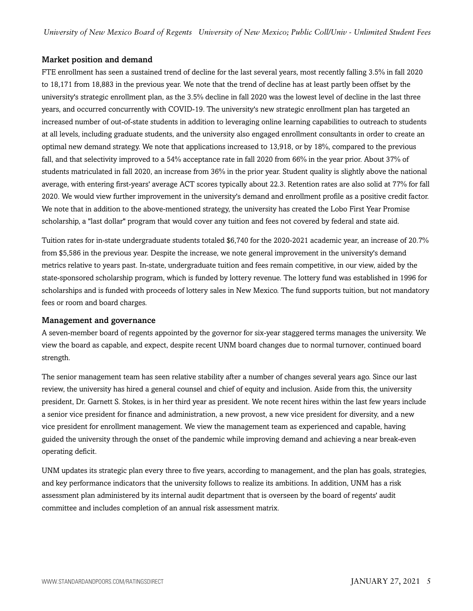### Market position and demand

FTE enrollment has seen a sustained trend of decline for the last several years, most recently falling 3.5% in fall 2020 to 18,171 from 18,883 in the previous year. We note that the trend of decline has at least partly been offset by the university's strategic enrollment plan, as the 3.5% decline in fall 2020 was the lowest level of decline in the last three years, and occurred concurrently with COVID-19. The university's new strategic enrollment plan has targeted an increased number of out-of-state students in addition to leveraging online learning capabilities to outreach to students at all levels, including graduate students, and the university also engaged enrollment consultants in order to create an optimal new demand strategy. We note that applications increased to 13,918, or by 18%, compared to the previous fall, and that selectivity improved to a 54% acceptance rate in fall 2020 from 66% in the year prior. About 37% of students matriculated in fall 2020, an increase from 36% in the prior year. Student quality is slightly above the national average, with entering first-years' average ACT scores typically about 22.3. Retention rates are also solid at 77% for fall 2020. We would view further improvement in the university's demand and enrollment profile as a positive credit factor. We note that in addition to the above-mentioned strategy, the university has created the Lobo First Year Promise scholarship, a "last dollar" program that would cover any tuition and fees not covered by federal and state aid.

Tuition rates for in-state undergraduate students totaled \$6,740 for the 2020-2021 academic year, an increase of 20.7% from \$5,586 in the previous year. Despite the increase, we note general improvement in the university's demand metrics relative to years past. In-state, undergraduate tuition and fees remain competitive, in our view, aided by the state-sponsored scholarship program, which is funded by lottery revenue. The lottery fund was established in 1996 for scholarships and is funded with proceeds of lottery sales in New Mexico. The fund supports tuition, but not mandatory fees or room and board charges.

#### Management and governance

A seven-member board of regents appointed by the governor for six-year staggered terms manages the university. We view the board as capable, and expect, despite recent UNM board changes due to normal turnover, continued board strength.

The senior management team has seen relative stability after a number of changes several years ago. Since our last review, the university has hired a general counsel and chief of equity and inclusion. Aside from this, the university president, Dr. Garnett S. Stokes, is in her third year as president. We note recent hires within the last few years include a senior vice president for finance and administration, a new provost, a new vice president for diversity, and a new vice president for enrollment management. We view the management team as experienced and capable, having guided the university through the onset of the pandemic while improving demand and achieving a near break-even operating deficit.

UNM updates its strategic plan every three to five years, according to management, and the plan has goals, strategies, and key performance indicators that the university follows to realize its ambitions. In addition, UNM has a risk assessment plan administered by its internal audit department that is overseen by the board of regents' audit committee and includes completion of an annual risk assessment matrix.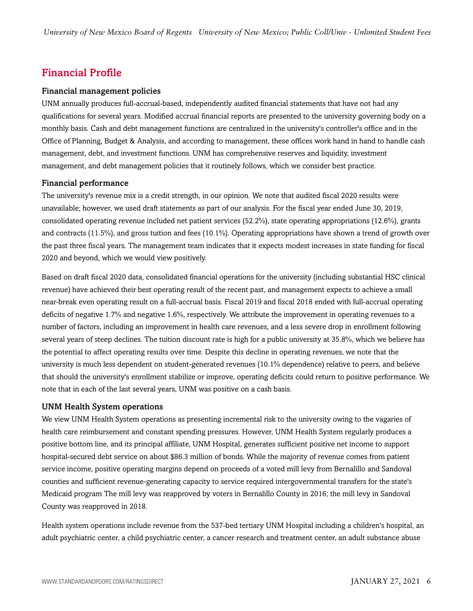# <span id="page-5-0"></span>Financial Profile

### Financial management policies

UNM annually produces full-accrual-based, independently audited financial statements that have not had any qualifications for several years. Modified accrual financial reports are presented to the university governing body on a monthly basis. Cash and debt management functions are centralized in the university's controller's office and in the Office of Planning, Budget & Analysis, and according to management, these offices work hand in hand to handle cash management, debt, and investment functions. UNM has comprehensive reserves and liquidity, investment management, and debt management policies that it routinely follows, which we consider best practice.

### Financial performance

The university's revenue mix is a credit strength, in our opinion. We note that audited fiscal 2020 results were unavailable; however, we used draft statements as part of our analysis. For the fiscal year ended June 30, 2019, consolidated operating revenue included net patient services (52.2%), state operating appropriations (12.6%), grants and contracts (11.5%), and gross tuition and fees (10.1%). Operating appropriations have shown a trend of growth over the past three fiscal years. The management team indicates that it expects modest increases in state funding for fiscal 2020 and beyond, which we would view positively.

Based on draft fiscal 2020 data, consolidated financial operations for the university (including substantial HSC clinical revenue) have achieved their best operating result of the recent past, and management expects to achieve a small near-break even operating result on a full-accrual basis. Fiscal 2019 and fiscal 2018 ended with full-accrual operating deficits of negative 1.7% and negative 1.6%, respectively. We attribute the improvement in operating revenues to a number of factors, including an improvement in health care revenues, and a less severe drop in enrollment following several years of steep declines. The tuition discount rate is high for a public university at 35.8%, which we believe has the potential to affect operating results over time. Despite this decline in operating revenues, we note that the university is much less dependent on student-generated revenues (10.1% dependence) relative to peers, and believe that should the university's enrollment stabilize or improve, operating deficits could return to positive performance. We note that in each of the last several years, UNM was positive on a cash basis.

# UNM Health System operations

We view UNM Health System operations as presenting incremental risk to the university owing to the vagaries of health care reimbursement and constant spending pressures. However, UNM Health System regularly produces a positive bottom line, and its principal affiliate, UNM Hospital, generates sufficient positive net income to support hospital-secured debt service on about \$86.3 million of bonds. While the majority of revenue comes from patient service income, positive operating margins depend on proceeds of a voted mill levy from Bernalillo and Sandoval counties and sufficient revenue-generating capacity to service required intergovernmental transfers for the state's Medicaid program The mill levy was reapproved by voters in Bernalillo County in 2016; the mill levy in Sandoval County was reapproved in 2018.

Health system operations include revenue from the 537-bed tertiary UNM Hospital including a children's hospital, an adult psychiatric center, a child psychiatric center, a cancer research and treatment center, an adult substance abuse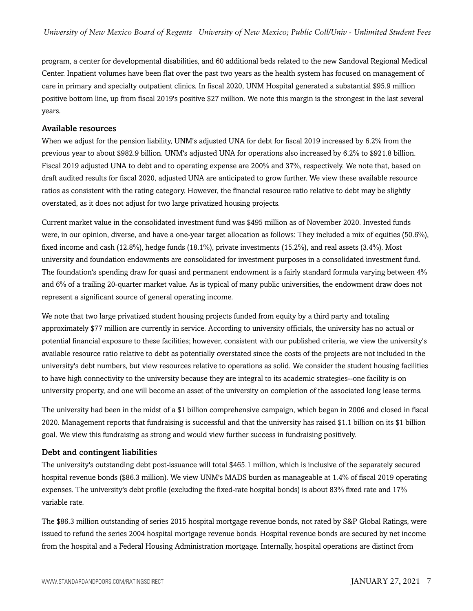program, a center for developmental disabilities, and 60 additional beds related to the new Sandoval Regional Medical Center. Inpatient volumes have been flat over the past two years as the health system has focused on management of care in primary and specialty outpatient clinics. In fiscal 2020, UNM Hospital generated a substantial \$95.9 million positive bottom line, up from fiscal 2019's positive \$27 million. We note this margin is the strongest in the last several years.

#### Available resources

When we adjust for the pension liability, UNM's adjusted UNA for debt for fiscal 2019 increased by 6.2% from the previous year to about \$982.9 billion. UNM's adjusted UNA for operations also increased by 6.2% to \$921.8 billion. Fiscal 2019 adjusted UNA to debt and to operating expense are 200% and 37%, respectively. We note that, based on draft audited results for fiscal 2020, adjusted UNA are anticipated to grow further. We view these available resource ratios as consistent with the rating category. However, the financial resource ratio relative to debt may be slightly overstated, as it does not adjust for two large privatized housing projects.

Current market value in the consolidated investment fund was \$495 million as of November 2020. Invested funds were, in our opinion, diverse, and have a one-year target allocation as follows: They included a mix of equities (50.6%), fixed income and cash (12.8%), hedge funds (18.1%), private investments (15.2%), and real assets (3.4%). Most university and foundation endowments are consolidated for investment purposes in a consolidated investment fund. The foundation's spending draw for quasi and permanent endowment is a fairly standard formula varying between 4% and 6% of a trailing 20-quarter market value. As is typical of many public universities, the endowment draw does not represent a significant source of general operating income.

We note that two large privatized student housing projects funded from equity by a third party and totaling approximately \$77 million are currently in service. According to university officials, the university has no actual or potential financial exposure to these facilities; however, consistent with our published criteria, we view the university's available resource ratio relative to debt as potentially overstated since the costs of the projects are not included in the university's debt numbers, but view resources relative to operations as solid. We consider the student housing facilities to have high connectivity to the university because they are integral to its academic strategies--one facility is on university property, and one will become an asset of the university on completion of the associated long lease terms.

The university had been in the midst of a \$1 billion comprehensive campaign, which began in 2006 and closed in fiscal 2020. Management reports that fundraising is successful and that the university has raised \$1.1 billion on its \$1 billion goal. We view this fundraising as strong and would view further success in fundraising positively.

# Debt and contingent liabilities

The university's outstanding debt post-issuance will total \$465.1 million, which is inclusive of the separately secured hospital revenue bonds (\$86.3 million). We view UNM's MADS burden as manageable at 1.4% of fiscal 2019 operating expenses. The university's debt profile (excluding the fixed-rate hospital bonds) is about 83% fixed rate and 17% variable rate.

The \$86.3 million outstanding of series 2015 hospital mortgage revenue bonds, not rated by S&P Global Ratings, were issued to refund the series 2004 hospital mortgage revenue bonds. Hospital revenue bonds are secured by net income from the hospital and a Federal Housing Administration mortgage. Internally, hospital operations are distinct from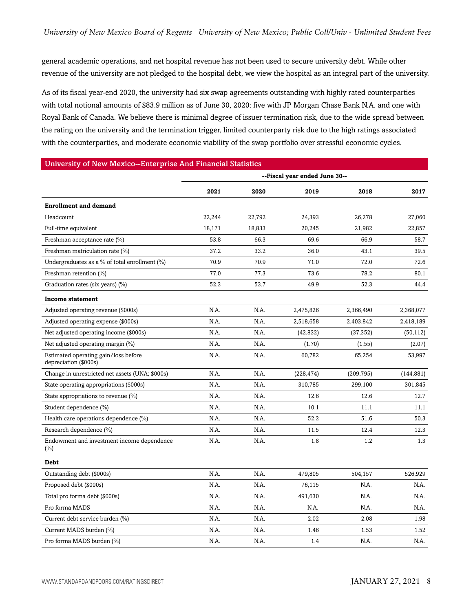general academic operations, and net hospital revenue has not been used to secure university debt. While other revenue of the university are not pledged to the hospital debt, we view the hospital as an integral part of the university.

As of its fiscal year-end 2020, the university had six swap agreements outstanding with highly rated counterparties with total notional amounts of \$83.9 million as of June 30, 2020: five with JP Morgan Chase Bank N.A. and one with Royal Bank of Canada. We believe there is minimal degree of issuer termination risk, due to the wide spread between the rating on the university and the termination trigger, limited counterparty risk due to the high ratings associated with the counterparties, and moderate economic viability of the swap portfolio over stressful economic cycles.

| <b>University of New Mexico--Enterprise And Financial Statistics</b> |                               |        |            |            |            |
|----------------------------------------------------------------------|-------------------------------|--------|------------|------------|------------|
|                                                                      | --Fiscal year ended June 30-- |        |            |            |            |
|                                                                      | 2021                          | 2020   | 2019       | 2018       | 2017       |
| <b>Enrollment and demand</b>                                         |                               |        |            |            |            |
| Headcount                                                            | 22,244                        | 22,792 | 24,393     | 26,278     | 27,060     |
| Full-time equivalent                                                 | 18,171                        | 18,833 | 20,245     | 21,982     | 22,857     |
| Freshman acceptance rate (%)                                         | 53.8                          | 66.3   | 69.6       | 66.9       | 58.7       |
| Freshman matriculation rate (%)                                      | 37.2                          | 33.2   | 36.0       | 43.1       | 39.5       |
| Undergraduates as a $\%$ of total enrollment ( $\%$ )                | 70.9                          | 70.9   | 71.0       | 72.0       | 72.6       |
| Freshman retention (%)                                               | 77.0                          | 77.3   | 73.6       | 78.2       | 80.1       |
| Graduation rates (six years) (%)                                     | 52.3                          | 53.7   | 49.9       | 52.3       | 44.4       |
| <b>Income statement</b>                                              |                               |        |            |            |            |
| Adjusted operating revenue (\$000s)                                  | N.A.                          | N.A.   | 2,475,826  | 2,366,490  | 2,368,077  |
| Adjusted operating expense (\$000s)                                  | N.A.                          | N.A.   | 2,518,658  | 2,403,842  | 2,418,189  |
| Net adjusted operating income (\$000s)                               | N.A.                          | N.A.   | (42, 832)  | (37, 352)  | (50, 112)  |
| Net adjusted operating margin (%)                                    | N.A.                          | N.A.   | (1.70)     | (1.55)     | (2.07)     |
| Estimated operating gain/loss before<br>depreciation (\$000s)        | N.A.                          | N.A.   | 60,782     | 65,254     | 53,997     |
| Change in unrestricted net assets (UNA; \$000s)                      | N.A.                          | N.A.   | (228, 474) | (209, 795) | (144, 881) |
| State operating appropriations (\$000s)                              | N.A.                          | N.A.   | 310,785    | 299,100    | 301,845    |
| State appropriations to revenue (%)                                  | N.A.                          | N.A.   | 12.6       | 12.6       | 12.7       |
| Student dependence (%)                                               | N.A.                          | N.A.   | 10.1       | 11.1       | 11.1       |
| Health care operations dependence (%)                                | N.A.                          | N.A.   | 52.2       | 51.6       | 50.3       |
| Research dependence (%)                                              | N.A.                          | N.A.   | 11.5       | 12.4       | 12.3       |
| Endowment and investment income dependence<br>$(\%)$                 | N.A.                          | N.A.   | 1.8        | 1.2        | 1.3        |
| <b>Debt</b>                                                          |                               |        |            |            |            |
| Outstanding debt (\$000s)                                            | N.A.                          | N.A.   | 479,805    | 504,157    | 526,929    |
| Proposed debt (\$000s)                                               | N.A.                          | N.A.   | 76,115     | N.A.       | N.A.       |
| Total pro forma debt (\$000s)                                        | N.A.                          | N.A.   | 491,630    | N.A.       | N.A.       |
| Pro forma MADS                                                       | N.A.                          | N.A.   | N.A.       | N.A.       | N.A.       |
| Current debt service burden (%)                                      | N.A.                          | N.A.   | 2.02       | 2.08       | 1.98       |
| Current MADS burden (%)                                              | N.A.                          | N.A.   | 1.46       | 1.53       | 1.52       |
| Pro forma MADS burden (%)                                            | N.A.                          | N.A.   | 1.4        | N.A.       | N.A.       |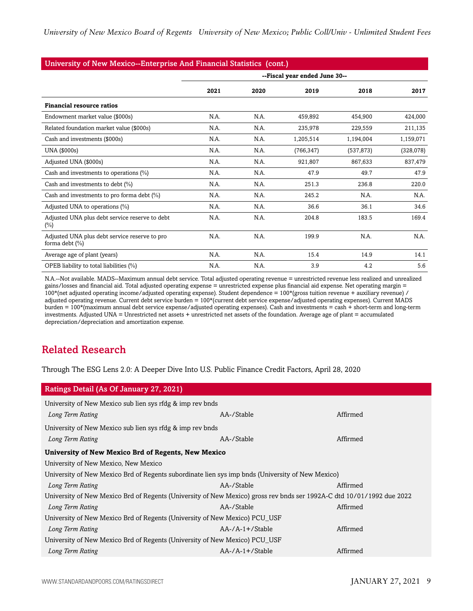| University of New Mexico--Enterprise And Financial Statistics (cont.) |                               |      |            |            |           |
|-----------------------------------------------------------------------|-------------------------------|------|------------|------------|-----------|
|                                                                       | --Fiscal year ended June 30-- |      |            |            |           |
|                                                                       | 2021                          | 2020 | 2019       | 2018       | 2017      |
| <b>Financial resource ratios</b>                                      |                               |      |            |            |           |
| Endowment market value (\$000s)                                       | N.A.                          | N.A. | 459,892    | 454,900    | 424,000   |
| Related foundation market value (\$000s)                              | N.A.                          | N.A. | 235,978    | 229,559    | 211,135   |
| Cash and investments (\$000s)                                         | N.A.                          | N.A. | 1,205,514  | 1,194,004  | 1,159,071 |
| UNA (\$000s)                                                          | N.A.                          | N.A. | (766, 347) | (537, 873) | (328,078) |
| Adjusted UNA (\$000s)                                                 | N.A.                          | N.A. | 921,807    | 867,633    | 837,479   |
| Cash and investments to operations (%)                                | N.A.                          | N.A. | 47.9       | 49.7       | 47.9      |
| Cash and investments to debt (%)                                      | N.A.                          | N.A. | 251.3      | 236.8      | 220.0     |
| Cash and investments to pro forma debt $(\%)$                         | N.A.                          | N.A. | 245.2      | N.A.       | N.A.      |
| Adjusted UNA to operations (%)                                        | N.A.                          | N.A. | 36.6       | 36.1       | 34.6      |
| Adjusted UNA plus debt service reserve to debt<br>$(\%)$              | N.A.                          | N.A. | 204.8      | 183.5      | 169.4     |
| Adjusted UNA plus debt service reserve to pro<br>forma debt $(\%)$    | N.A.                          | N.A. | 199.9      | N.A.       | N.A.      |
| Average age of plant (years)                                          | N.A.                          | N.A. | 15.4       | 14.9       | 14.1      |
| OPEB liability to total liabilities (%)                               | N.A.                          | N.A. | 3.9        | 4.2        | 5.6       |

N.A.--Not available. MADS--Maximum annual debt service. Total adjusted operating revenue = unrestricted revenue less realized and unrealized gains/losses and financial aid. Total adjusted operating expense = unrestricted expense plus financial aid expense. Net operating margin = 100\*(net adjusted operating income/adjusted operating expense). Student dependence =  $100*($ gross tuition revenue + auxiliary revenue) / adjusted operating revenue. Current debt service burden = 100\*(current debt service expense/adjusted operating expenses). Current MADS burden = 100\*(maximum annual debt service expense/adjusted operating expenses). Cash and investments = cash + short-term and long-term investments. Adjusted UNA = Unrestricted net assets + unrestricted net assets of the foundation. Average age of plant = accumulated depreciation/depreciation and amortization expense.

# <span id="page-8-0"></span>Related Research

Through The ESG Lens 2.0: A Deeper Dive Into U.S. Public Finance Credit Factors, April 28, 2020

| Ratings Detail (As Of January 27, 2021)                                                                               |                    |          |  |  |
|-----------------------------------------------------------------------------------------------------------------------|--------------------|----------|--|--|
| University of New Mexico sub lien sys rfdg & imp rev bnds                                                             |                    |          |  |  |
| Long Term Rating                                                                                                      | AA-/Stable         | Affirmed |  |  |
| University of New Mexico sub lien sys rfdg & imp rev bnds                                                             |                    |          |  |  |
| Long Term Rating                                                                                                      | AA-/Stable         | Affirmed |  |  |
| University of New Mexico Brd of Regents, New Mexico                                                                   |                    |          |  |  |
| University of New Mexico, New Mexico                                                                                  |                    |          |  |  |
| University of New Mexico Brd of Regents subordinate lien sys imp bnds (University of New Mexico)                      |                    |          |  |  |
| Long Term Rating                                                                                                      | AA-/Stable         | Affirmed |  |  |
| University of New Mexico Brd of Regents (University of New Mexico) gross rev bnds ser 1992A-C dtd 10/01/1992 due 2022 |                    |          |  |  |
| Long Term Rating                                                                                                      | AA-/Stable         | Affirmed |  |  |
| University of New Mexico Brd of Regents (University of New Mexico) PCU USF                                            |                    |          |  |  |
| Long Term Rating                                                                                                      | $AA$ -/A-1+/Stable | Affirmed |  |  |
| University of New Mexico Brd of Regents (University of New Mexico) PCU USF                                            |                    |          |  |  |
| Long Term Rating                                                                                                      | $AA$ -/A-1+/Stable | Affirmed |  |  |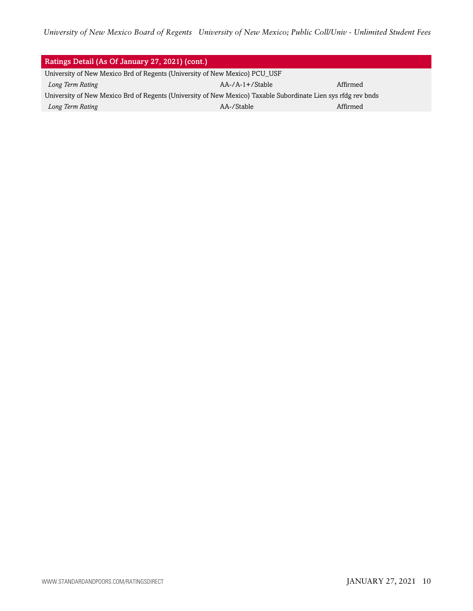| Ratings Detail (As Of January 27, 2021) (cont.)                                                               |                    |          |  |  |
|---------------------------------------------------------------------------------------------------------------|--------------------|----------|--|--|
| University of New Mexico Brd of Regents (University of New Mexico) PCU_USF                                    |                    |          |  |  |
| Long Term Rating                                                                                              | $AA$ -/A-1+/Stable | Affirmed |  |  |
| University of New Mexico Brd of Regents (University of New Mexico) Taxable Subordinate Lien sys rfdg rev bnds |                    |          |  |  |
| Long Term Rating                                                                                              | AA-/Stable         | Affirmed |  |  |
|                                                                                                               |                    |          |  |  |